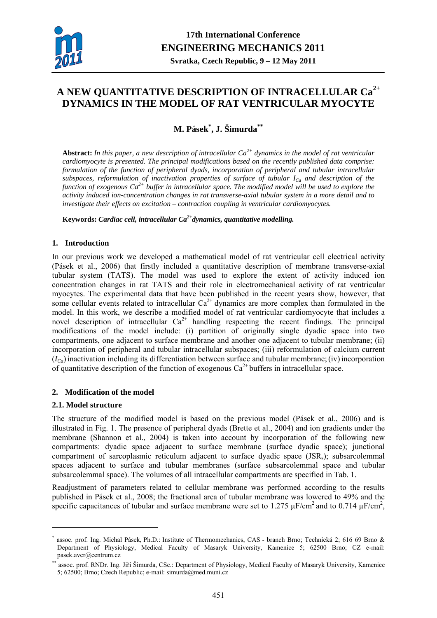

# **A NEW QUANTITATIVE DESCRIPTION OF INTRACELLULAR Ca2+ DYNAMICS IN THE MODEL OF RAT VENTRICULAR MYOCYTE**

**M. Pásek\* , J. Šimurda\*\***

**Abstract:** *In this paper, a new description of intracellular Ca2+ dynamics in the model of rat ventricular cardiomyocyte is presented. The principal modifications based on the recently published data comprise: formulation of the function of peripheral dyads, incorporation of peripheral and tubular intracellular subspaces, reformulation of inactivation properties of surface of tubular ICa and description of the function of exogenous Ca2+ buffer in intracellular space. The modified model will be used to explore the activity induced ion-concentration changes in rat transverse-axial tubular system in a more detail and to investigate their effects on excitation – contraction coupling in ventricular cardiomyocytes.* 

**Keywords:** *Cardiac cell, intracellular Ca2+dynamics, quantitative modelling.* 

# **1. Introduction**

In our previous work we developed a mathematical model of rat ventricular cell electrical activity (Pásek et al., 2006) that firstly included a quantitative description of membrane transverse-axial tubular system (TATS). The model was used to explore the extent of activity induced ion concentration changes in rat TATS and their role in electromechanical activity of rat ventricular myocytes. The experimental data that have been published in the recent years show, however, that some cellular events related to intracellular  $Ca^{2+}$  dynamics are more complex than formulated in the model. In this work, we describe a modified model of rat ventricular cardiomyocyte that includes a novel description of intracellular  $Ca^{2+}$  handling respecting the recent findings. The principal modifications of the model include: (i) partition of originally single dyadic space into two compartments, one adjacent to surface membrane and another one adjacent to tubular membrane; (ii) incorporation of peripheral and tubular intracellular subspaces; (iii) reformulation of calcium current  $(I_{Ca})$  inactivation including its differentiation between surface and tubular membrane; (iv) incorporation of quantitative description of the function of exogenous  $Ca^{2+}$  buffers in intracellular space.

# **2. Modification of the model**

## **2.1. Model structure**

1

The structure of the modified model is based on the previous model (Pásek et al., 2006) and is illustrated in Fig. 1. The presence of peripheral dyads (Brette et al., 2004) and ion gradients under the membrane (Shannon et al., 2004) is taken into account by incorporation of the following new compartments: dyadic space adjacent to surface membrane (surface dyadic space); junctional compartment of sarcoplasmic reticulum adjacent to surface dyadic space (JSR<sub>s</sub>); subsarcolemmal spaces adjacent to surface and tubular membranes (surface subsarcolemmal space and tubular subsarcolemmal space). The volumes of all intracellular compartments are specified in Tab. 1.

Readjustment of parameters related to cellular membrane was performed according to the results published in Pásek et al., 2008; the fractional area of tubular membrane was lowered to 49% and the specific capacitances of tubular and surface membrane were set to 1.275  $\mu$ F/cm<sup>2</sup> and to 0.714  $\mu$ F/cm<sup>2</sup>,

<sup>\*</sup> assoc. prof. Ing. Michal Pásek, Ph.D.: Institute of Thermomechanics, CAS - branch Brno; Technická 2; 616 69 Brno & Department of Physiology, Medical Faculty of Masaryk University, Kamenice 5; 62500 Brno; CZ e-mail: pasek.avcr@centrum.cz

<sup>\*</sup> assoc. prof. RNDr. Ing. Jiří Šimurda, CSc.: Department of Physiology, Medical Faculty of Masaryk University, Kamenice 5; 62500; Brno; Czech Republic; e-mail: simurda@med.muni.cz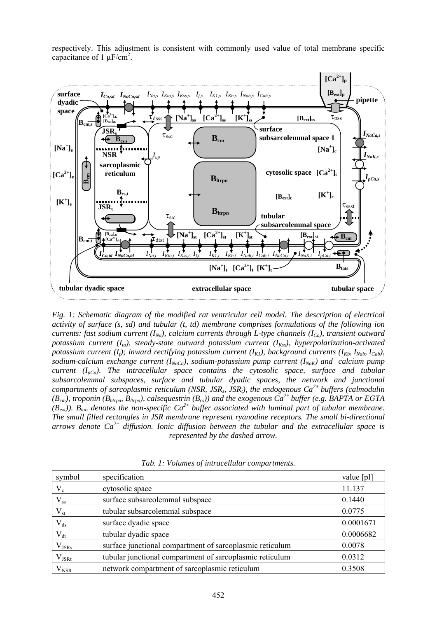respectively. This adjustment is consistent with commonly used value of total membrane specific capacitance of  $1 \mu$ F/cm<sup>2</sup>.



*Fig. 1: Schematic diagram of the modified rat ventricular cell model. The description of electrical activity of surface (s, sd) and tubular (t, td) membrane comprises formulations of the following ion currents: fast sodium current (I<sub>Na</sub>), calcium currents through L-type channels (I<sub>Ca</sub>), transient outward potassium current (I<sub>to</sub>), steady-state outward potassium current (I<sub>Kss</sub>), hyperpolarization-activated potassium current (I<sub>f</sub>); inward rectifying potassium current (I<sub>K1</sub>), background currents (I<sub>Kb</sub>, I<sub>Nab</sub>, I<sub>Cab</sub>), sodium-calcium exchange current* ( $I_{NaCa}$ ), *sodium-potassium pump current* ( $I_{NaK}$ ) and *calcium pump current* ( $I_{pCa}$ ). The intracellular space contains the cytosolic space, surface and tubular *subsarcolemmal subspaces, surface and tubular dyadic spaces, the network and junctional compartments of sarcoplasmic reticulum (NSR, JSRs, JSRt), the endogenous Ca2+ buffers (calmodulin (Bcm), troponin (Bhtrpn, Bltrpn), calsequestrin (Bcs)) and the exogenous Ca2+ buffer (e.g. BAPTA or EGTA*   $(B_{ext})$ ). B<sub>tats</sub> denotes the non-specific  $Ca^{2+}$  buffer associated with luminal part of tubular membrane. *The small filled rectangles in JSR membrane represent ryanodine receptors. The small bi-directional arrows denote Ca2+ diffusion. Ionic diffusion between the tubular and the extracellular space is represented by the dashed arrow.* 

| symbol           | specification                                            | value [pl] |
|------------------|----------------------------------------------------------|------------|
| $V_c$            | cytosolic space                                          | 11.137     |
| $V_{ss}$         | surface subsarcolemmal subspace                          | 0.1440     |
| $\rm V_{\rm st}$ | tubular subsarcolemmal subspace                          | 0.0775     |
| $V_{ds}$         | surface dyadic space                                     | 0.0001671  |
| $V_{dt}$         | tubular dyadic space                                     | 0.0006682  |
| $V_{JSRs}$       | surface junctional compartment of sarcoplasmic reticulum | 0.0078     |
| $V_{JSRt}$       | tubular junctional compartment of sarcoplasmic reticulum | 0.0312     |
| $V_{NSR}$        | network compartment of sarcoplasmic reticulum            | 0.3508     |

*Tab. 1: Volumes of intracellular compartments.*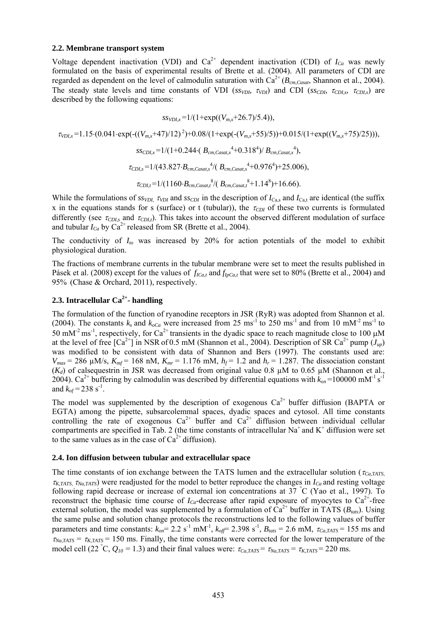#### **2.2. Membrane transport system**

Voltage dependent inactivation (VDI) and  $Ca^{2+}$  dependent inactivation (CDI) of  $I_{Ca}$  was newly formulated on the basis of experimental results of Brette et al. (2004). All parameters of CDI are regarded as dependent on the level of calmodulin saturation with  $Ca^{2+} (B_{cm,Casat})$ , Shannon et al., 2004). The steady state levels and time constants of VDI (*ss<sub>VDI</sub>*, τ<sub>VDI</sub>) and CDI (*ss<sub>CDI</sub>*, τ<sub>CDI,s</sub>, τ<sub>CDI,s</sub>) are described by the following equations:

$$
ss_{VDI,x}=1/(1+\exp((V_{m,x}+26.7)/5.4)),
$$

<sup>τ</sup>*VDI,x* =1.15⋅(0.041⋅exp(-((*Vm,x*+47)/12) 2)+0.08/(1+exp(-(*Vm,x*+55)/5))+0.015/(1+exp((*Vm,x*+75)/25))),

$$
ss_{CDI,x} = 1/(1+0.244 \cdot (B_{cm,Casat,x} {}^{4}+0.318^{4})/B_{cm,Casat,x} {}^{4}),
$$
  
\n
$$
\tau_{CDI,s} = 1/(43.827 \cdot B_{cm,Casat,s} {}^{4}/(B_{cm,Casat,s} {}^{4}+0.976^{4})+25.006),
$$
  
\n
$$
\tau_{CDI,t} = 1/(1160 \cdot B_{cm,Casat,t} {}^{8}/(B_{cm,Casat,t} {}^{8}+1.14^{8})+16.66).
$$

While the formulations of  $ss_{VDI}$ ,  $\tau_{VDI}$  and  $ss_{CDI}$  in the description of  $I_{Cas}$  and  $I_{Cat}$  are identical (the suffix x in the equations stands for s (surface) or t (tubular)), the  $\tau_{CDI}$  of these two currents is formulated differently (see  $\tau_{CDIs}$  and  $\tau_{CDIs}$ ). This takes into account the observed different modulation of surface and tubular  $I_{Ca}$  by  $Ca^{2+}$  released from SR (Brette et al., 2004).

The conductivity of  $I_{to}$  was increased by 20% for action potentials of the model to exhibit physiological duration.

The fractions of membrane currents in the tubular membrane were set to meet the results published in Pásek et al. (2008) except for the values of  $f_{ICa,t}$  and  $f_{IpCa,t}$  that were set to 80% (Brette et al., 2004) and 95% (Chase & Orchard, 2011), respectively.

#### **2.3. Intracellular Ca2+- handling**

The formulation of the function of ryanodine receptors in JSR (RyR) was adopted from Shannon et al. (2004). The constants  $k_s$  and  $k_{oCa}$  were increased from 25 ms<sup>-1</sup> to 250 ms<sup>-1</sup> and from 10 mM<sup>-2</sup> ms<sup>-1</sup> to 50 mM<sup>-2</sup> ms<sup>-1</sup>, respectively, for Ca<sup>2+</sup> transients in the dyadic space to reach magnitude close to 100  $\mu$ M at the level of free  $\lceil Ca^{2+} \rceil$  in NSR of 0.5 mM (Shannon et al., 2004). Description of SR  $Ca^{2+}$  pump  $(J_{up})$ was modified to be consistent with data of Shannon and Bers (1997). The constants used are:  $V_{max}$  = 286  $\mu$ M/s,  $K_{mf}$  = 168 nM,  $K_{mr}$  = 1.176 mM,  $h_f$  = 1.2 and  $h_r$  = 1.287. The dissociation constant  $(K_d)$  of calsequestrin in JSR was decreased from original value 0.8  $\mu$ M to 0.65  $\mu$ M (Shannon et al., 2004). Ca<sup>2+</sup> buffering by calmodulin was described by differential equations with  $k_{on}$ =100000 mM<sup>-1</sup> s<sup>-1</sup> and  $k_{of}$  = 238 s<sup>-1</sup>.

The model was supplemented by the description of exogenous  $Ca^{2+}$  buffer diffusion (BAPTA or EGTA) among the pipette, subsarcolemmal spaces, dyadic spaces and cytosol. All time constants controlling the rate of exogenous  $Ca^{2+}$  buffer and  $Ca^{2+}$  diffusion between individual cellular compartments are specified in Tab. 2 (the time constants of intracellular  $Na<sup>+</sup>$  and  $K<sup>+</sup>$  diffusion were set to the same values as in the case of  $Ca^{2+}$  diffusion).

#### **2.4. Ion diffusion between tubular and extracellular space**

The time constants of ion exchange between the TATS lumen and the extracellular solution ( $\tau_{Ca,TATS}$ )  $\tau_{K,TATS}$ ,  $\tau_{Na,TATS}$ ) were readjusted for the model to better reproduce the changes in  $I_{Ca}$  and resting voltage following rapid decrease or increase of external ion concentrations at 37 °C (Yao et al., 1997). To reconstruct the biphasic time course of  $I_{Cq}$ -decrease after rapid exposure of myocytes to  $Ca^{2+}$ -free external solution, the model was supplemented by a formulation of  $Ca^{2+}$  buffer in TATS ( $B_{\text{tats}}$ ). Using the same pulse and solution change protocols the reconstructions led to the following values of buffer parameters and time constants:  $k_{on} = 2.2 \text{ s}^{-1} \text{ mM}^{-1}$ ,  $k_{off} = 2.398 \text{ s}^{-1}$ ,  $B_{tats} = 2.6 \text{ mM}$ ,  $\tau_{Ca,TATS} = 155 \text{ ms}$  and  $\tau_{Na,TATS} = \tau_{K,TATS} = 150$  ms. Finally, the time constants were corrected for the lower temperature of the model cell (22 °C,  $Q_{10} = 1.3$ ) and their final values were:  $\tau_{Ca,TATS} = \tau_{Na,TATS} = \tau_{K,TATS} = 220$  ms.